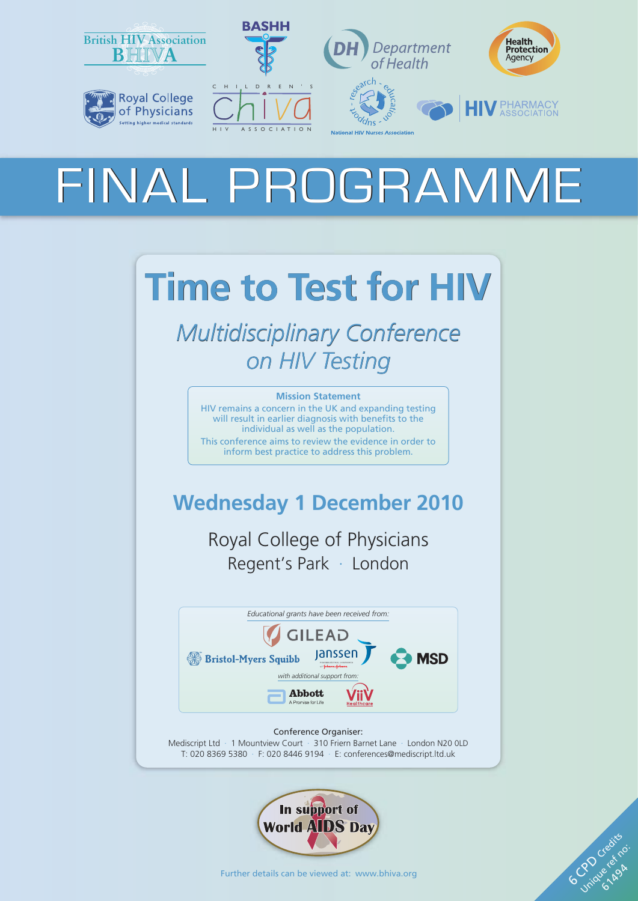

# FINAL PROGRAMME

# **Time to Test for HIV**

*Multidisciplinary Conference on HIV Testing*

#### **Mission Statement**

HIV remains a concern in the UK and expanding testing will result in earlier diagnosis with benefits to the individual as well as the population. This conference aims to review the evidence in order to inform best practice to address this problem.

## **Wednesday 1 December 2010**

Royal College of Physicians Regent's Park · London



Conference Organiser: Mediscript Ltd · 1 Mountview Court · 310 Friern Barnet Lane · London N20 0LD T: 020 8369 5380 · F: 020 8446 9194 · E[: conferences@mediscript.ltd.uk](mailto:conferences@mediscript.ltd.uk)



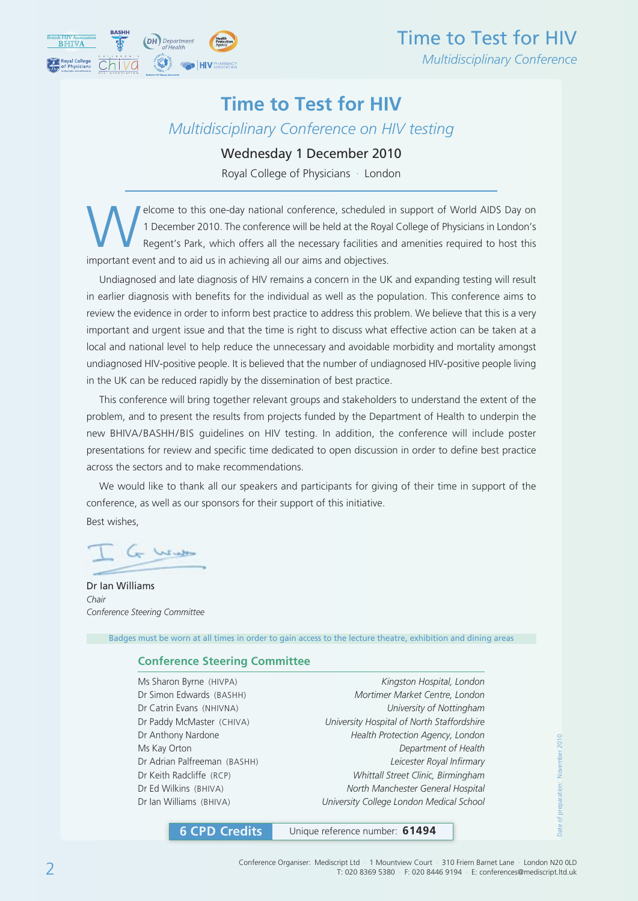

### **Time to Test for HIV**

*Multidisciplinary Conference on HIV testing*

#### Wednesday 1 December 2010

Royal College of Physicians · London

elcome to this one-day national conference, scheduled in support of World AIDS Day on<br>1 December 2010. The conference will be held at the Royal College of Physicians in London's<br>Regent's Park, which offers all the necessar 1 December 2010. The conference will be held at the Royal College of Physicians in London's Regent's Park, which offers all the necessary facilities and amenities required to host this important event and to aid us in achieving all our aims and objectives.

Undiagnosed and late diagnosis of HIV remains a concern in the UK and expanding testing will result in earlier diagnosis with benefits for the individual as well as the population. This conference aims to review the evidence in order to inform best practice to address this problem. We believe that this is a very important and urgent issue and that the time is right to discuss what effective action can be taken at a local and national level to help reduce the unnecessary and avoidable morbidity and mortality amongst undiagnosed HIV-positive people. It is believed that the number of undiagnosed HIV-positive people living in the UK can be reduced rapidly by the dissemination of best practice.

This conference will bring together relevant groups and stakeholders to understand the extent of the problem, and to present the results from projects funded by the Department of Health to underpin the new BHIVA/BASHH/BIS guidelines on HIV testing. In addition, the conference will include poster presentations for review and specific time dedicated to open discussion in order to define best practice across the sectors and to make recommendations.

We would like to thank all our speakers and participants for giving of their time in support of the conference, as well as our sponsors for their support of this initiative.

Best wishes,

Winter

Dr Ian Williams *Chair Conference Steering Committee*

Badges must be worn at all times in order to gain access to the lecture theatre, exhibition and dining areas

#### **Conference Steering Committee**

Ms Sharon Byrne (HIVPA) *Kingston Hospital, London* Dr Simon Edwards (BASHH) *Mortimer Market Centre, London* Dr Catrin Evans (NHIVNA) *University of Nottingham* Dr Paddy McMaster (CHIVA) *University Hospital of North Staffordshire* Dr Anthony Nardone *Health Protection Agency, London* Ms Kay Orton *Department of Health* Dr Adrian Palfreeman (BASHH) *Leicester Royal Infirmary* Dr Keith Radcliffe (RCP) *Whittall Street Clinic, Birmingham* Dr Ed Wilkins (BHIVA) *North Manchester General Hospital* Dr Ian Williams (BHIVA) *University College London Medical School*

**6 CPD Credits** Unique reference number: **61494**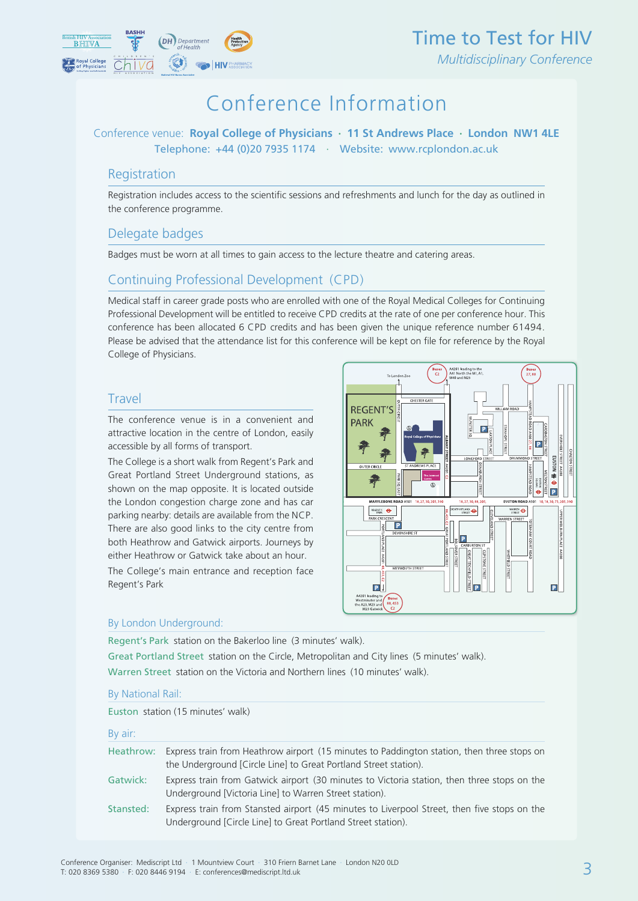

## Conference Information

#### Conference venue: **Royal College of Physicians · 11 St Andrews Place · London NW1 4LE** Telephone: +44 (0)20 7935 1174 · Website: [www.rcplondon.ac.uk](http://www.rcplondon.ac.uk)

#### Registration

Registration includes access to the scientific sessions and refreshments and lunch for the day as outlined in the conference programme.

#### Delegate badges

Badges must be worn at all times to gain access to the lecture theatre and catering areas.

#### Continuing Professional Development (CPD)

Medical staff in career grade posts who are enrolled with one of the Royal Medical Colleges for Continuing Professional Development will be entitled to receive CPD credits at the rate of one per conference hour. This conference has been allocated 6 CPD credits and has been given the unique reference number 61494. Please be advised that the attendance list for this conference will be kept on file for reference by the Royal College of Physicians.

#### Travel

The conference venue is in a convenient and attractive location in the centre of London, easily accessible by all forms of transport.

The College is a short walk from Regent's Park and Great Portland Street Underground stations, as shown on the map opposite. It is located outside the London congestion charge zone and has car parking nearby: details are available from the NCP. There are also good links to the city centre from both Heathrow and Gatwick airports. Journeys by either Heathrow or Gatwick take about an hour.

The College's main entrance and reception face Regent's Park



#### By London Underground:

Regent's Park station on the Bakerloo line (3 minutes' walk).

Great Portland Street station on the Circle, Metropolitan and City lines (5 minutes' walk). Warren Street station on the Victoria and Northern lines (10 minutes' walk).

#### By National Rail:

Euston station (15 minutes' walk)

|                    | Heathrow: Express train from Heathrow airport (15 minutes to Paddington station, then three stops on |
|--------------------|------------------------------------------------------------------------------------------------------|
|                    | the Underground [Circle Line] to Great Portland Street station).                                     |
| المستوات والمستقبل | Forences their frame Catolick since at 100 minutes to Vistanic station, there there seems a state    |

- Gatwick: Express train from Gatwick airport (30 minutes to Victoria station, then three stops on the Underground [Victoria Line] to Warren Street station).
- Stansted: Express train from Stansted airport (45 minutes to Liverpool Street, then five stops on the Underground [Circle Line] to Great Portland Street station).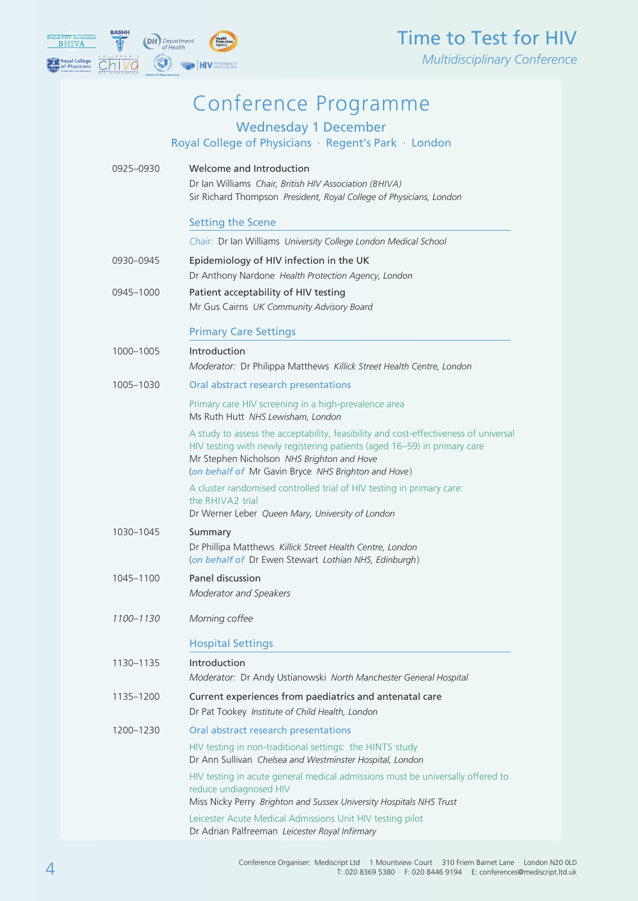

## Time to Test for HIV

*Multidisciplinary Conference*

## Conference Programme

Wednesday 1 December

Royal College of Physicians · Regent's Park · London

| 0925-0930 | Welcome and Introduction<br>Dr Ian Williams Chair, British HIV Association (BHIVA)<br>Sir Richard Thompson President, Royal College of Physicians, London                                                                                                             |
|-----------|-----------------------------------------------------------------------------------------------------------------------------------------------------------------------------------------------------------------------------------------------------------------------|
|           | <b>Setting the Scene</b>                                                                                                                                                                                                                                              |
|           | Chair: Dr Ian Williams University College London Medical School                                                                                                                                                                                                       |
| 0930-0945 | Epidemiology of HIV infection in the UK<br>Dr Anthony Nardone Health Protection Agency, London                                                                                                                                                                        |
| 0945-1000 | Patient acceptability of HIV testing<br>Mr Gus Cairns UK Community Advisory Board                                                                                                                                                                                     |
|           | <b>Primary Care Settings</b><br>Introduction                                                                                                                                                                                                                          |
| 1000-1005 | Moderator: Dr Philippa Matthews Killick Street Health Centre, London                                                                                                                                                                                                  |
| 1005-1030 | Oral abstract research presentations                                                                                                                                                                                                                                  |
|           | Primary care HIV screening in a high-prevalence area<br>Ms Ruth Hutt NHS Lewisham, London                                                                                                                                                                             |
|           | A study to assess the acceptability, feasibility and cost-effectiveness of universal<br>HIV testing with newly registering patients (aged 16-59) in primary care<br>Mr Stephen Nicholson NHS Brighton and Hove<br>(on behalf of Mr Gavin Bryce NHS Brighton and Hove) |
|           | A cluster randomised controlled trial of HIV testing in primary care:<br>the RHIVA2 trial<br>Dr Werner Leber Queen Mary, University of London                                                                                                                         |
| 1030-1045 | Summary<br>Dr Phillipa Matthews Killick Street Health Centre, London<br>(on behalf of Dr Ewen Stewart Lothian NHS, Edinburgh)                                                                                                                                         |
| 1045-1100 | <b>Panel discussion</b><br>Moderator and Speakers                                                                                                                                                                                                                     |
| 1100-1130 | Morning coffee                                                                                                                                                                                                                                                        |
|           | <b>Hospital Settings</b>                                                                                                                                                                                                                                              |
| 1130–1135 | Introduction<br>Moderator: Dr Andy Ustianowski North Manchester General Hospital                                                                                                                                                                                      |
| 1135-1200 | Current experiences from paediatrics and antenatal care<br>Dr Pat Tookey Institute of Child Health, London                                                                                                                                                            |
| 1200–1230 | Oral abstract research presentations                                                                                                                                                                                                                                  |
|           | HIV testing in non-traditional settings: the HINTS study<br>Dr Ann Sullivan Chelsea and Westminster Hospital, London                                                                                                                                                  |
|           | HIV testing in acute general medical admissions must be universally offered to<br>reduce undiagnosed HIV<br>Miss Nicky Perry Brighton and Sussex University Hospitals NHS Trust                                                                                       |
|           | Leicester Acute Medical Admissions Unit HIV testing pilot<br>Dr Adrian Palfreeman Leicester Royal Infirmary                                                                                                                                                           |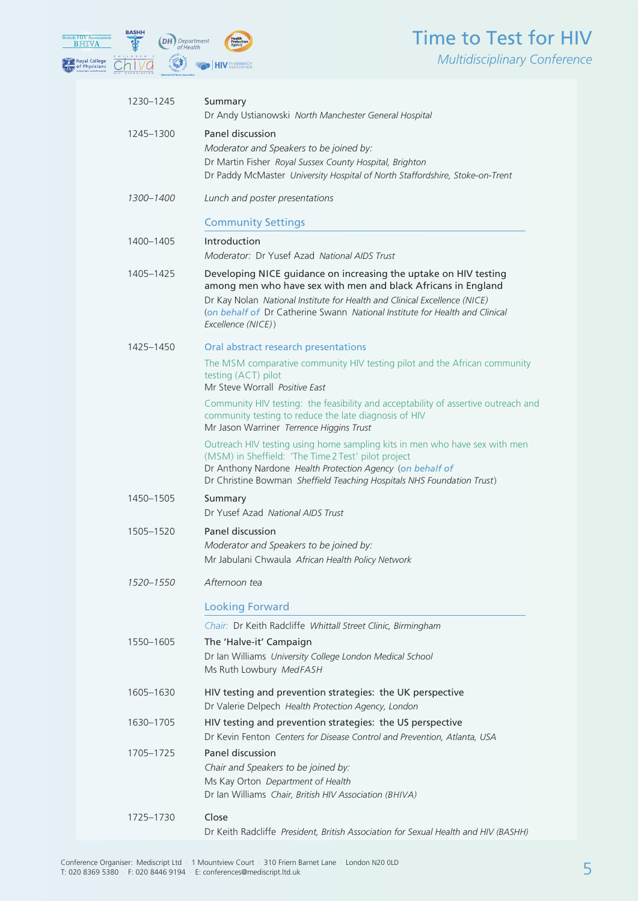### Time to Test for HIV *Multidisciplinary Conference*



| 1230-1245 | Summary<br>Dr Andy Ustianowski North Manchester General Hospital                                                                                                                                                                                                                                                    |
|-----------|---------------------------------------------------------------------------------------------------------------------------------------------------------------------------------------------------------------------------------------------------------------------------------------------------------------------|
| 1245-1300 | Panel discussion<br>Moderator and Speakers to be joined by:<br>Dr Martin Fisher Royal Sussex County Hospital, Brighton<br>Dr Paddy McMaster University Hospital of North Staffordshire, Stoke-on-Trent                                                                                                              |
| 1300-1400 | Lunch and poster presentations                                                                                                                                                                                                                                                                                      |
|           | <b>Community Settings</b>                                                                                                                                                                                                                                                                                           |
| 1400-1405 | Introduction<br>Moderator: Dr Yusef Azad National AIDS Trust                                                                                                                                                                                                                                                        |
| 1405-1425 | Developing NICE guidance on increasing the uptake on HIV testing<br>among men who have sex with men and black Africans in England<br>Dr Kay Nolan National Institute for Health and Clinical Excellence (NICE)<br>(on behalf of Dr Catherine Swann National Institute for Health and Clinical<br>Excellence (NICE)) |
| 1425-1450 | Oral abstract research presentations                                                                                                                                                                                                                                                                                |
|           | The MSM comparative community HIV testing pilot and the African community<br>testing (ACT) pilot<br>Mr Steve Worrall Positive East                                                                                                                                                                                  |
|           | Community HIV testing: the feasibility and acceptability of assertive outreach and<br>community testing to reduce the late diagnosis of HIV<br>Mr Jason Warriner Terrence Higgins Trust                                                                                                                             |
|           | Outreach HIV testing using home sampling kits in men who have sex with men<br>(MSM) in Sheffield: 'The Time 2 Test' pilot project<br>Dr Anthony Nardone Health Protection Agency (on behalf of<br>Dr Christine Bowman Sheffield Teaching Hospitals NHS Foundation Trust)                                            |
| 1450-1505 | Summary<br>Dr Yusef Azad National AIDS Trust                                                                                                                                                                                                                                                                        |
| 1505-1520 | Panel discussion<br>Moderator and Speakers to be joined by:<br>Mr Jabulani Chwaula African Health Policy Network                                                                                                                                                                                                    |
| 1520–1550 | Afternoon tea                                                                                                                                                                                                                                                                                                       |
|           | <b>Looking Forward</b>                                                                                                                                                                                                                                                                                              |
|           | Chair: Dr Keith Radcliffe Whittall Street Clinic, Birmingham                                                                                                                                                                                                                                                        |
| 1550-1605 | The 'Halve-it' Campaign<br>Dr Ian Williams University College London Medical School<br>Ms Ruth Lowbury MedFASH                                                                                                                                                                                                      |
| 1605-1630 | HIV testing and prevention strategies: the UK perspective<br>Dr Valerie Delpech Health Protection Agency, London                                                                                                                                                                                                    |
| 1630-1705 | HIV testing and prevention strategies: the US perspective<br>Dr Kevin Fenton Centers for Disease Control and Prevention, Atlanta, USA                                                                                                                                                                               |
| 1705-1725 | Panel discussion<br>Chair and Speakers to be joined by:<br>Ms Kay Orton Department of Health<br>Dr Ian Williams Chair, British HIV Association (BHIVA)                                                                                                                                                              |
| 1725-1730 | Close<br>Dr Keith Radcliffe President, British Association for Sexual Health and HIV (BASHH)                                                                                                                                                                                                                        |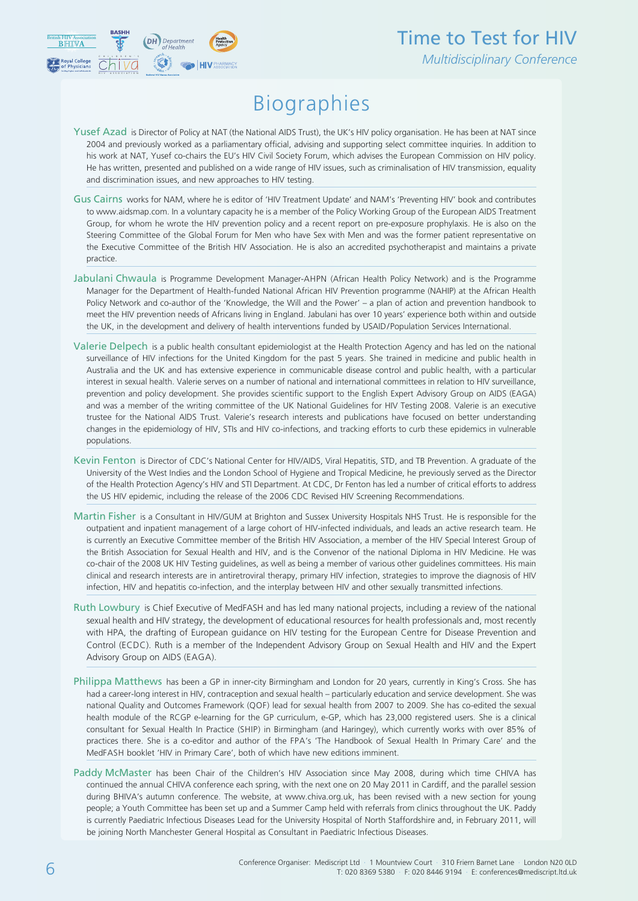

## Biographies

- Yusef Azad is Director of Policy at NAT (the National AIDS Trust), the UK's HIV policy organisation. He has been at NAT since 2004 and previously worked as a parliamentary official, advising and supporting select committee inquiries. In addition to his work at NAT, Yusef co-chairs the EU's HIV Civil Society Forum, which advises the European Commission on HIV policy. He has written, presented and published on a wide range of HIV issues, such as criminalisation of HIV transmission, equality and discrimination issues, and new approaches to HIV testing.
- Gus Cairns works for NAM, where he is editor of 'HIV Treatment Update' and NAM's 'Preventing HIV' book and contributes to www.aidsmap.com. In a voluntary capacity he is a member of the Policy Working Group of the European AIDS Treatment Group, for whom he wrote the HIV prevention policy and a recent report on pre-exposure prophylaxis. He is also on the Steering Committee of the Global Forum for Men who have Sex with Men and was the former patient representative on the Executive Committee of the British HIV Association. He is also an accredited psychotherapist and maintains a private practice.
- Jabulani Chwaula is Programme Development Manager-AHPN (African Health Policy Network) and is the Programme Manager for the Department of Health-funded National African HIV Prevention programme (NAHIP) at the African Health Policy Network and co-author of the 'Knowledge, the Will and the Power' – a plan of action and prevention handbook to meet the HIV prevention needs of Africans living in England. Jabulani has over 10 years' experience both within and outside the UK, in the development and delivery of health interventions funded by USAID/Population Services International.
- Valerie Delpech is a public health consultant epidemiologist at the Health Protection Agency and has led on the national surveillance of HIV infections for the United Kingdom for the past 5 years. She trained in medicine and public health in Australia and the UK and has extensive experience in communicable disease control and public health, with a particular interest in sexual health. Valerie serves on a number of national and international committees in relation to HIV surveillance, prevention and policy development. She provides scientific support to the English Expert Advisory Group on AIDS (EAGA) and was a member of the writing committee of the UK National Guidelines for HIV Testing 2008. Valerie is an executive trustee for the National AIDS Trust. Valerie's research interests and publications have focused on better understanding changes in the epidemiology of HIV, STIs and HIV co-infections, and tracking efforts to curb these epidemics in vulnerable populations.
- Kevin Fenton is Director of CDC's National Center for HIV/AIDS, Viral Hepatitis, STD, and TB Prevention. A graduate of the University of the West Indies and the London School of Hygiene and Tropical Medicine, he previously served as the Director of the Health Protection Agency's HIV and STI Department. At CDC, Dr Fenton has led a number of critical efforts to address the US HIV epidemic, including the release of the 2006 CDC Revised HIV Screening Recommendations.
- Martin Fisher is a Consultant in HIV/GUM at Brighton and Sussex University Hospitals NHS Trust. He is responsible for the outpatient and inpatient management of a large cohort of HIV-infected individuals, and leads an active research team. He is currently an Executive Committee member of the British HIV Association, a member of the HIV Special Interest Group of the British Association for Sexual Health and HIV, and is the Convenor of the national Diploma in HIV Medicine. He was co-chair of the 2008 UK HIV Testing guidelines, as well as being a member of various other guidelines committees. His main clinical and research interests are in antiretroviral therapy, primary HIV infection, strategies to improve the diagnosis of HIV infection, HIV and hepatitis co-infection, and the interplay between HIV and other sexually transmitted infections.
- Ruth Lowbury is Chief Executive of MedFASH and has led many national projects, including a review of the national sexual health and HIV strategy, the development of educational resources for health professionals and, most recently with HPA, the drafting of European guidance on HIV testing for the European Centre for Disease Prevention and Control (ECDC). Ruth is a member of the Independent Advisory Group on Sexual Health and HIV and the Expert Advisory Group on AIDS (EAGA).
- Philippa Matthews has been a GP in inner-city Birmingham and London for 20 years, currently in King's Cross. She has had a career-long interest in HIV, contraception and sexual health – particularly education and service development. She was national Quality and Outcomes Framework (QOF) lead for sexual health from 2007 to 2009. She has co-edited the sexual health module of the RCGP e-learning for the GP curriculum, e-GP, which has 23,000 registered users. She is a clinical consultant for Sexual Health In Practice (SHIP) in Birmingham (and Haringey), which currently works with over 85% of practices there. She is a co-editor and author of the FPA's 'The Handbook of Sexual Health In Primary Care' and the MedFASH booklet 'HIV in Primary Care', both of which have new editions imminent.
- Paddy McMaster has been Chair of the Children's HIV Association since May 2008, during which time CHIVA has continued the annual CHIVA conference each spring, with the next one on 20 May 2011 in Cardiff, and the parallel session during BHIVA's autumn conference. The website, at www.chiva.org.uk, has been revised with a new section for young people; a Youth Committee has been set up and a Summer Camp held with referrals from clinics throughout the UK. Paddy is currently Paediatric Infectious Diseases Lead for the University Hospital of North Staffordshire and, in February 2011, will be joining North Manchester General Hospital as Consultant in Paediatric Infectious Diseases.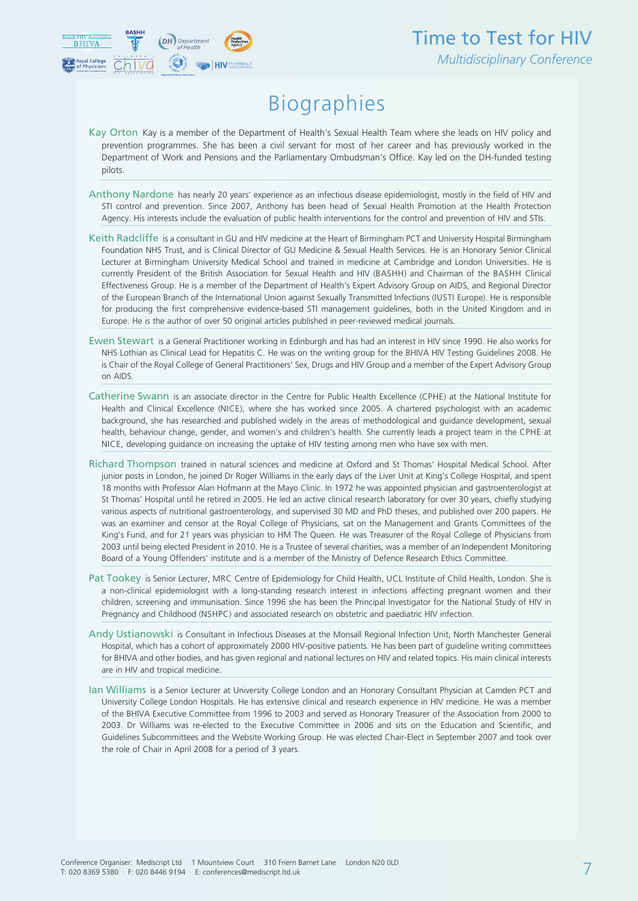

## Biographies

- Kay Orton Kay is a member of the Department of Health's Sexual Health Team where she leads on HIV policy and prevention programmes. She has been a civil servant for most of her career and has previously worked in the Department of Work and Pensions and the Parliamentary Ombudsman's Office. Kay led on the DH-funded testing pilots.
- Anthony Nardone has nearly 20 years' experience as an infectious disease epidemiologist, mostly in the field of HIV and STI control and prevention. Since 2007, Anthony has been head of Sexual Health Promotion at the Health Protection Agency. His interests include the evaluation of public health interventions for the control and prevention of HIV and STIs.
- Keith Radcliffe is a consultant in GU and HIV medicine at the Heart of Birmingham PCT and University Hospital Birmingham Foundation NHS Trust, and is Clinical Director of GU Medicine & Sexual Health Services. He is an Honorary Senior Clinical Lecturer at Birmingham University Medical School and trained in medicine at Cambridge and London Universities. He is currently President of the British Association for Sexual Health and HIV (BASHH) and Chairman of the BASHH Clinical Effectiveness Group. He is a member of the Department of Health's Expert Advisory Group on AIDS, and Regional Director of the European Branch of the International Union against Sexually Transmitted Infections (IUSTI Europe). He is responsible for producing the first comprehensive evidence-based STI management guidelines, both in the United Kingdom and in Europe. He is the author of over 50 original articles published in peer-reviewed medical journals.
- Ewen Stewart is a General Practitioner working in Edinburgh and has had an interest in HIV since 1990. He also works for NHS Lothian as Clinical Lead for Hepatitis C. He was on the writing group for the BHIVA HIV Testing Guidelines 2008. He is Chair of the Royal College of General Practitioners' Sex, Drugs and HIV Group and a member of the Expert Advisory Group on AIDS.
- Catherine Swann is an associate director in the Centre for Public Health Excellence (CPHE) at the National Institute for Health and Clinical Excellence (NICE), where she has worked since 2005. A chartered psychologist with an academic background, she has researched and published widely in the areas of methodological and guidance development, sexual health, behaviour change, gender, and women's and children's health. She currently leads a project team in the CPHE at NICE, developing guidance on increasing the uptake of HIV testing among men who have sex with men.
- Richard Thompson trained in natural sciences and medicine at Oxford and St Thomas' Hospital Medical School. After junior posts in London, he joined Dr Roger Williams in the early days of the Liver Unit at King's College Hospital, and spent 18 months with Professor Alan Hofmann at the Mayo Clinic. In 1972 he was appointed physician and gastroenterologist at St Thomas' Hospital until he retired in 2005. He led an active clinical research laboratory for over 30 years, chiefly studying various aspects of nutritional gastroenterology, and supervised 30 MD and PhD theses, and published over 200 papers. He was an examiner and censor at the Royal College of Physicians, sat on the Management and Grants Committees of the King's Fund, and for 21 years was physician to HM The Queen. He was Treasurer of the Royal College of Physicians from 2003 until being elected President in 2010. He is a Trustee of several charities, was a member of an Independent Monitoring Board of a Young Offenders' institute and is a member of the Ministry of Defence Research Ethics Committee.
- Pat Tookey is Senior Lecturer, MRC Centre of Epidemiology for Child Health, UCL Institute of Child Health, London. She is a non-clinical epidemiologist with a long-standing research interest in infections affecting pregnant women and their children, screening and immunisation. Since 1996 she has been the Principal Investigator for the National Study of HIV in Pregnancy and Childhood (NSHPC) and associated research on obstetric and paediatric HIV infection.
- Andy Ustianowski is Consultant in Infectious Diseases at the Monsall Regional Infection Unit, North Manchester General Hospital, which has a cohort of approximately 2000 HIV-positive patients. He has been part of guideline writing committees for BHIVA and other bodies, and has given regional and national lectures on HIV and related topics. His main clinical interests are in HIV and tropical medicine.
- Ian Williams is a Senior Lecturer at University College London and an Honorary Consultant Physician at Camden PCT and University College London Hospitals. He has extensive clinical and research experience in HIV medicine. He was a member of the BHIVA Executive Committee from 1996 to 2003 and served as Honorary Treasurer of the Association from 2000 to 2003. Dr Williams was re-elected to the Executive Committee in 2006 and sits on the Education and Scientific, and Guidelines Subcommittees and the Website Working Group. He [was elected Chair-Elect in Septem](mailto:conferences@mediscript.ltd.uk)ber 2007 and took over the role of Chair in April 2008 for a period of 3 years.